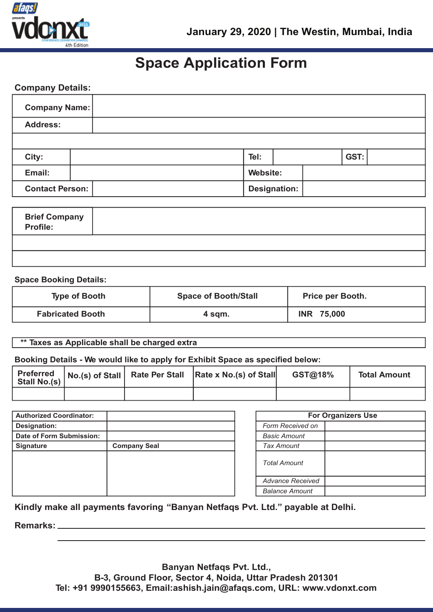

# **Space Application Form**

# **Company Details:**

| <b>Company Name:</b>   |  |                     |  |  |      |  |
|------------------------|--|---------------------|--|--|------|--|
| <b>Address:</b>        |  |                     |  |  |      |  |
|                        |  |                     |  |  |      |  |
| City:                  |  | Tel:                |  |  | GST: |  |
| Email:                 |  | Website:            |  |  |      |  |
| <b>Contact Person:</b> |  | <b>Designation:</b> |  |  |      |  |

| <b>Brief Company<br/>Profile:</b> |  |
|-----------------------------------|--|
|                                   |  |
|                                   |  |

## **Space Booking Details:**

| <b>Type of Booth</b>    | <b>Space of Booth/Stall</b> | <b>Price per Booth.</b> |
|-------------------------|-----------------------------|-------------------------|
| <b>Fabricated Booth</b> | 4 sqm.                      | <b>INR 75,000</b>       |

# **\*\* Taxes as Applicable shall be charged extra**

# **Booking Details - We would like to apply for Exhibit Space as specified below:**

|  | Preferred No.(s) of Stall Rate Per Stall Rate x No.(s) of Stall Stall | GST@18% | <b>Total Amount</b> |
|--|-----------------------------------------------------------------------|---------|---------------------|
|  |                                                                       |         |                     |

| <b>Authorized Coordinator:</b> |                     |                  |
|--------------------------------|---------------------|------------------|
| Designation:                   |                     | <b>Form Rec</b>  |
| Date of Form Submission:       |                     | <b>Basic Am</b>  |
| <b>Signature</b>               | <b>Company Seal</b> | <b>Tax Amou</b>  |
|                                |                     | <b>Total Amo</b> |
|                                |                     | Advance          |
|                                |                     | Balance A        |
|                                |                     |                  |

| <b>For Organizers Use</b> |  |  |  |
|---------------------------|--|--|--|
| <b>Form Received on</b>   |  |  |  |
| <b>Basic Amount</b>       |  |  |  |
| <b>Tax Amount</b>         |  |  |  |
| <b>Total Amount</b>       |  |  |  |
| <b>Advance Received</b>   |  |  |  |
| <b>Balance Amount</b>     |  |  |  |

# **Kindly make all payments favoring "Banyan Netfaqs Pvt. Ltd." payable at Delhi.**

**Remarks:**

**Banyan Netfaqs Pvt. Ltd., B-3, Ground Floor, Sector 4, Noida, Uttar Pradesh 201301 Tel: +91 9990155663, Email:ashish.jain@afaqs.com, URL: www.vdonxt.com**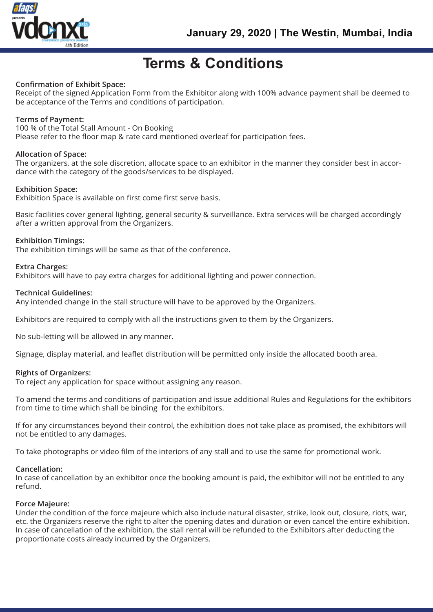

# **Terms & Conditions**

# **Confirmation of Exhibit Space:**

Receipt of the signed Application Form from the Exhibitor along with 100% advance payment shall be deemed to be acceptance of the Terms and conditions of participation.

# **Terms of Payment:**

#### 100 % of the Total Stall Amount - On Booking

Please refer to the floor map & rate card mentioned overleaf for participation fees.

## **Allocation of Space:**

The organizers, at the sole discretion, allocate space to an exhibitor in the manner they consider best in accordance with the category of the goods/services to be displayed.

## **Exhibition Space:**

Exhibition Space is available on first come first serve basis.

Basic facilities cover general lighting, general security & surveillance. Extra services will be charged accordingly after a written approval from the Organizers.

## **Exhibition Timings:**

The exhibition timings will be same as that of the conference.

## **Extra Charges:**

Exhibitors will have to pay extra charges for additional lighting and power connection.

## **Technical Guidelines:**

Any intended change in the stall structure will have to be approved by the Organizers.

Exhibitors are required to comply with all the instructions given to them by the Organizers.

No sub-letting will be allowed in any manner.

Signage, display material, and leaflet distribution will be permitted only inside the allocated booth area.

#### **Rights of Organizers:**

To reject any application for space without assigning any reason.

To amend the terms and conditions of participation and issue additional Rules and Regulations for the exhibitors from time to time which shall be binding for the exhibitors.

If for any circumstances beyond their control, the exhibition does not take place as promised, the exhibitors will not be entitled to any damages.

To take photographs or video film of the interiors of any stall and to use the same for promotional work.

#### **Cancellation:**

In case of cancellation by an exhibitor once the booking amount is paid, the exhibitor will not be entitled to any refund.

#### **Force Majeure:**

Under the condition of the force majeure which also include natural disaster, strike, look out, closure, riots, war, etc. the Organizers reserve the right to alter the opening dates and duration or even cancel the entire exhibition. In case of cancellation of the exhibition, the stall rental will be refunded to the Exhibitors after deducting the proportionate costs already incurred by the Organizers.